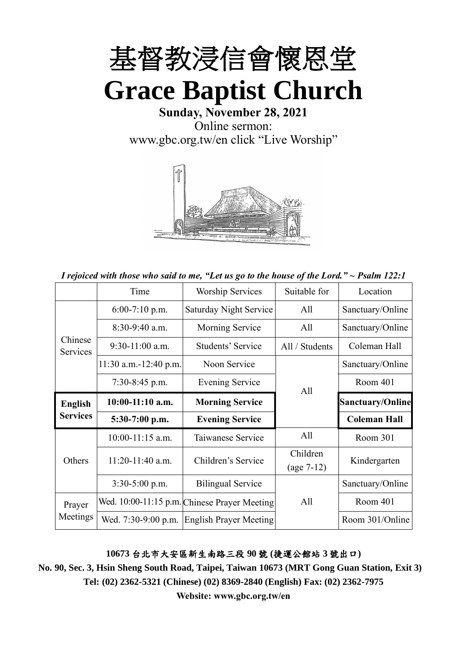

**Sunday, November 28, 2021** Online sermon: [www.gbc.org.tw/en](http://www.gbc.org.tw/en) click "Live Worship"



*I rejoiced with those who said to me, "Let us go to the house of the Lord." ~ Psalm 122:1*

|                     | Time                    | <b>Worship Services</b>                      | Suitable for   | Location                |
|---------------------|-------------------------|----------------------------------------------|----------------|-------------------------|
|                     | $6:00-7:10$ p.m.        | Saturday Night Service                       | All            | Sanctuary/Online        |
|                     | $8:30-9:40$ a.m.        | Morning Service                              | All            | Sanctuary/Online        |
| Chinese<br>Services | $9:30-11:00$ a.m.       | Students' Service                            | All / Students | Coleman Hall            |
|                     | $11:30$ a.m.-12:40 p.m. | Noon Service                                 |                | Sanctuary/Online        |
|                     | 7:30-8:45 p.m.          | <b>Evening Service</b>                       | All            | Room 401                |
| <b>English</b>      | $10:00-11:10$ a.m.      | <b>Morning Service</b>                       |                | <b>Sanctuary/Online</b> |
| <b>Services</b>     | 5:30-7:00 p.m.          | <b>Evening Service</b>                       |                | <b>Coleman Hall</b>     |
|                     | 10:00-11:15 a.m.        | Taiwanese Service                            | All            | Room 301                |
| Others              | $11:20-11:40$ a.m.      | Children's Service                           | Children       | Kindergarten            |
|                     |                         |                                              | $(age 7-12)$   |                         |
|                     | $3:30-5:00$ p.m.        | <b>Bilingual Service</b>                     |                | Sanctuary/Online        |
| Prayer              |                         | Wed. 10:00-11:15 p.m. Chinese Prayer Meeting | All            | Room 401                |
| Meetings            | Wed. 7:30-9:00 p.m.     | <b>English Prayer Meeting</b>                |                | Room 301/Online         |

#### **10673** 台北市大安區新生南路三段 **90** 號 **(**捷運公館站 **3** 號出口**)**

**No. 90, Sec. 3, Hsin Sheng South Road, Taipei, Taiwan 10673 (MRT Gong Guan Station, Exit 3) Tel: (02) 2362-5321 (Chinese) (02) 8369-2840 (English) Fax: (02) 2362-7975**

**Website: www.gbc.org.tw/en**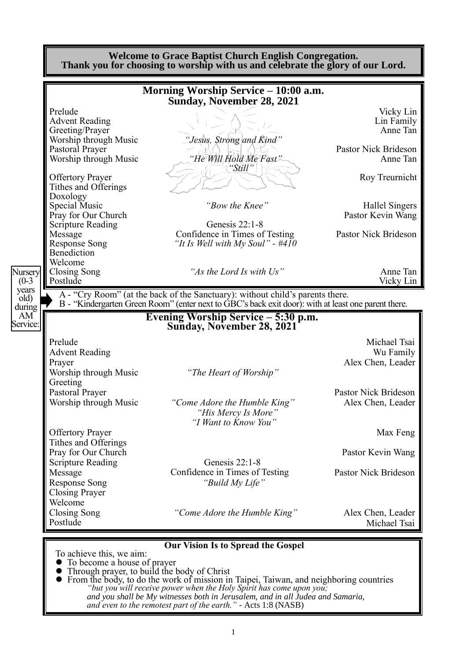|                                      | Morning Worship Service - 10:00 a.m.<br>Sunday, November 28, 2021                                                                                                                    |                                                                                            |
|--------------------------------------|--------------------------------------------------------------------------------------------------------------------------------------------------------------------------------------|--------------------------------------------------------------------------------------------|
| Prelude                              |                                                                                                                                                                                      | Vicky Lin                                                                                  |
| <b>Advent Reading</b>                |                                                                                                                                                                                      | Lin Family                                                                                 |
| Greeting/Prayer                      |                                                                                                                                                                                      | Anne Tan                                                                                   |
| Worship through Music                | "Jesus, Strong and Kind"                                                                                                                                                             |                                                                                            |
| Pastoral Prayer                      |                                                                                                                                                                                      | Pastor Nick Brideson                                                                       |
| Worship through Music                | "He Will Hold Me Fast"                                                                                                                                                               | Anne Tan                                                                                   |
|                                      | "Still"                                                                                                                                                                              |                                                                                            |
| <b>Offertory Prayer</b>              |                                                                                                                                                                                      | Roy Treurnicht                                                                             |
| Tithes and Offerings                 |                                                                                                                                                                                      |                                                                                            |
| Doxology                             |                                                                                                                                                                                      |                                                                                            |
| Special Music<br>Pray for Our Church | "Bow the Knee"                                                                                                                                                                       | <b>Hallel Singers</b>                                                                      |
| <b>Scripture Reading</b>             | Genesis 22:1-8                                                                                                                                                                       | Pastor Kevin Wang                                                                          |
| Message                              | Confidence in Times of Testing                                                                                                                                                       | Pastor Nick Brideson                                                                       |
| <b>Response Song</b>                 | "It Is Well with My Soul" - $\#410$                                                                                                                                                  |                                                                                            |
| Benediction                          |                                                                                                                                                                                      |                                                                                            |
| Welcome                              |                                                                                                                                                                                      |                                                                                            |
| <b>Closing Song</b>                  | "As the Lord Is with Us"                                                                                                                                                             | Anne Tan                                                                                   |
|                                      |                                                                                                                                                                                      |                                                                                            |
| Postlude                             | A - "Cry Room" (at the back of the Sanctuary): without child's parents there.<br>B - "Kindergarten Green Room" (enter next to GBC's back exit door): with at least one parent there. |                                                                                            |
| Prelude                              | Evening Worship Service – 5:30 p.m.<br>Sunday, November 28, 2021                                                                                                                     |                                                                                            |
| <b>Advent Reading</b>                |                                                                                                                                                                                      |                                                                                            |
| Prayer                               |                                                                                                                                                                                      |                                                                                            |
| Worship through Music                | "The Heart of Worship"                                                                                                                                                               |                                                                                            |
| Greeting                             |                                                                                                                                                                                      |                                                                                            |
| Pastoral Prayer                      |                                                                                                                                                                                      | Vicky Lin<br>Michael Tsai<br>Wu Family<br>Alex Chen, Leader<br><b>Pastor Nick Brideson</b> |
| Worship through Music                | "Come Adore the Humble King                                                                                                                                                          | Alex Chen, Leader                                                                          |
|                                      | "His Mercy Is More"                                                                                                                                                                  |                                                                                            |
|                                      | "I Want to Know You"                                                                                                                                                                 |                                                                                            |
| <b>Offertory Prayer</b>              |                                                                                                                                                                                      | Max Feng                                                                                   |
| Tithes and Offerings                 |                                                                                                                                                                                      |                                                                                            |
| Pray for Our Church                  |                                                                                                                                                                                      |                                                                                            |
| <b>Scripture Reading</b>             | Genesis $22:1-8$                                                                                                                                                                     |                                                                                            |
| Message                              | Confidence in Times of Testing                                                                                                                                                       |                                                                                            |
| Response Song                        | "Build My Life"                                                                                                                                                                      |                                                                                            |
| <b>Closing Prayer</b>                |                                                                                                                                                                                      |                                                                                            |
| Welcome                              |                                                                                                                                                                                      |                                                                                            |
| Closing Song<br>Postlude             | "Come Adore the Humble King"                                                                                                                                                         | Pastor Kevin Wang<br>Pastor Nick Brideson<br>Alex Chen, Leader<br>Michael Tsai             |

- ⚫ Through prayer, to build the body of Christ
- ⚫ From the body, to do the work of mission in Taipei, Taiwan, and neighboring countries *"but you will receive power when the Holy Spirit has come upon you; and you shall be My witnesses both in Jerusalem, and in all Judea and Samaria, and even to the remotest part of the earth." -* Acts 1:8 (NASB)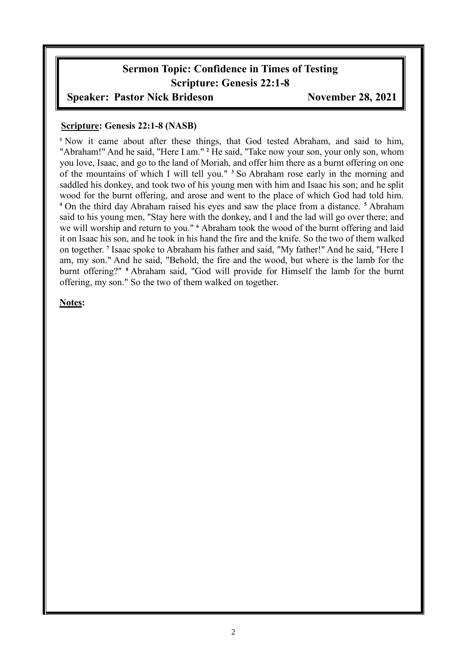# **Sermon Topic: Confidence in Times of Testing Scripture: Genesis 22:1-8**

#### **Speaker: Pastor Nick Brideson November 28, 2021**

#### **Scripture: Genesis 22:1-8 (NASB)**

**<sup>1</sup>** Now it came about after these things, that God tested Abraham, and said to him, "Abraham!" And he said, "Here I am." **<sup>2</sup>** He said, "Take now your son, your only son, whom you love, Isaac, and go to the land of Moriah, and offer him there as a burnt offering on one of the mountains of which I will tell you." **<sup>3</sup>** So Abraham rose early in the morning and saddled his donkey, and took two of his young men with him and Isaac his son; and he split wood for the burnt offering, and arose and went to the place of which God had told him. **<sup>4</sup>** On the third day Abraham raised his eyes and saw the place from a distance. **<sup>5</sup>** Abraham said to his young men, "Stay here with the donkey, and I and the lad will go over there; and we will worship and return to you." **<sup>6</sup>** Abraham took the wood of the burnt offering and laid it on Isaac his son, and he took in his hand the fire and the knife. So the two of them walked on together. **<sup>7</sup>** Isaac spoke to Abraham his father and said, "My father!" And he said, "Here I am, my son." And he said, "Behold, the fire and the wood, but where is the lamb for the burnt offering?" **<sup>8</sup>** Abraham said, "God will provide for Himself the lamb for the burnt offering, my son." So the two of them walked on together.

**Notes:**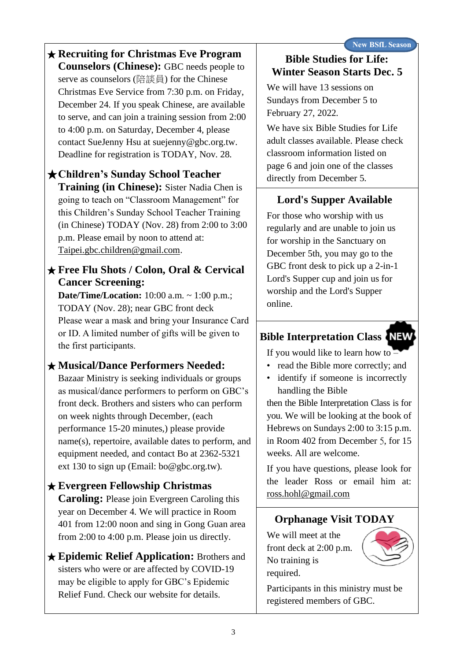#### ★ **Recruiting for Christmas Eve Program Counselors (Chinese):** GBC needs people to serve as counselors (陪談員) for the Chinese Christmas Eve Service from 7:30 p.m. on Friday, December 24. If you speak Chinese, are available to serve, and can join a training session from 2:00 to 4:00 p.m. on Saturday, December 4, please contact SueJenny Hsu at suejenny@gbc.org.tw. Deadline for registration is TODAY, Nov. 28.

#### ★**Children's Sunday School Teacher**

**Training (in Chinese):** Sister Nadia Chen is going to teach on "Classroom Management" for this Children's Sunday School Teacher Training (in Chinese) TODAY (Nov. 28) from 2:00 to 3:00 p.m. Please email by noon to attend at: [Taipei.gbc.children@gmail.com.](mailto:Taipei.gbc.children@gmail.com)

#### ★ **Free Flu Shots / Colon, Oral & Cervical Cancer Screening:**

**Date/Time/Location:** 10:00 a.m. ~ 1:00 p.m.; TODAY (Nov. 28); near GBC front deck Please wear a mask and bring your Insurance Card or ID. A limited number of gifts will be given to the first participants.

## ★ **Musical/Dance Performers Needed:**

Bazaar Ministry is seeking individuals or groups as musical/dance performers to perform on GBC's front deck. Brothers and sisters who can perform on week nights through December, (each performance 15-20 minutes,) please provide name(s), repertoire, available dates to perform, and equipment needed, and contact Bo at 2362-5321 ext 130 to sign up (Email: bo@gbc.org.tw).

## ★ **Evergreen Fellowship Christmas**

**Caroling:** Please join Evergreen Caroling this year on December 4. We will practice in Room 401 from 12:00 noon and sing in Gong Guan area from 2:00 to 4:00 p.m. Please join us directly.

★ **Epidemic Relief Application:** Brothers and sisters who were or are affected by COVID-19 may be eligible to apply for GBC's Epidemic Relief Fund. Check our website for details.

## **Bible Studies for Life: Winter Season Starts Dec. 5**

We will have 13 sessions on Sundays from December 5 to February 27, 2022.

We have six Bible Studies for Life adult classes available. Please check classroom information listed on page 6 and join one of the classes directly from December 5.

## **Lord's Supper Available**

For those who worship with us regularly and are unable to join us for worship in the Sanctuary on December 5th, you may go to the GBC front desk to pick up a 2-in-1 Lord's Supper cup and join us for worship and the Lord's Supper online.

## **Bible Interpretation Class**

If you would like to learn how to –

- read the Bible more correctly; and
- identify if someone is incorrectly handling the Bible

then the Bible Interpretation Class is for you. We will be looking at the book of Hebrews on Sundays 2:00 to 3:15 p.m. in Room 402 from December 5, for 15 weeks. All are welcome.

If you have questions, please look for the leader Ross or email him at: ross.hohl@gmail.com

## **Orphanage Visit TODAY**

We will meet at the front deck at 2:00 p.m. No training is required.



Participants in this ministry must be registered members of GBC.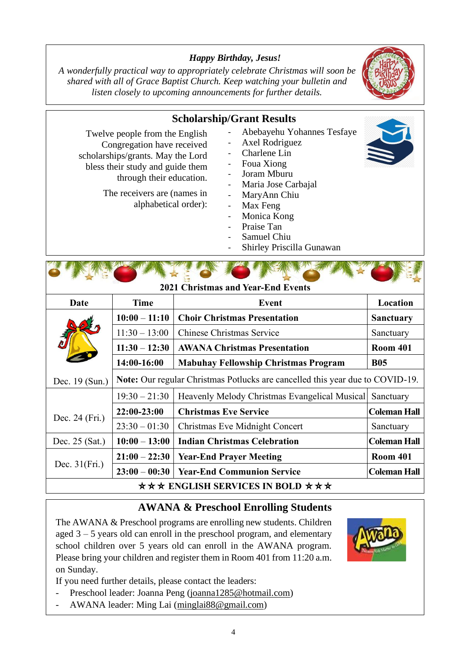#### *Happy Birthday, Jesus!*

*A wonderfully practical way to appropriately celebrate Christmas will soon be shared with all of Grace Baptist Church. Keep watching your bulletin and listen closely to upcoming announcements for further details.*



#### **Scholarship/Grant Results** Twelve people from the English Congregation have received scholarships/grants. May the Lord bless their study and guide them through their education. The receivers are (names in alphabetical order): - Abebayehu Yohannes Tesfaye Axel Rodriguez Charlene Lin - Foua Xiong Joram Mburu Maria Jose Carbajal MaryAnn Chiu - Max Feng Monica Kong Praise Tan Samuel Chiu - Shirley Priscilla Gunawan

|                 |                 | <b>2021 Christmas and Year-End Events</b>                                            |                     |
|-----------------|-----------------|--------------------------------------------------------------------------------------|---------------------|
| Date            | <b>Time</b>     | Event                                                                                | Location            |
|                 | $10:00 - 11:10$ | <b>Choir Christmas Presentation</b>                                                  | <b>Sanctuary</b>    |
|                 | $11:30 - 13:00$ | <b>Chinese Christmas Service</b>                                                     | Sanctuary           |
|                 | $11:30 - 12:30$ | <b>AWANA Christmas Presentation</b>                                                  | <b>Room 401</b>     |
|                 | 14:00-16:00     | <b>Mabuhay Fellowship Christmas Program</b>                                          | <b>B05</b>          |
| Dec. 19 (Sun.)  |                 | <b>Note:</b> Our regular Christmas Potlucks are cancelled this year due to COVID-19. |                     |
|                 | $19:30 - 21:30$ | Heavenly Melody Christmas Evangelical Musical                                        | Sanctuary           |
| Dec. 24 (Fri.)  | 22:00-23:00     | <b>Christmas Eve Service</b>                                                         | <b>Coleman Hall</b> |
|                 | $23:30 - 01:30$ | Christmas Eve Midnight Concert                                                       | Sanctuary           |
| Dec. 25 (Sat.)  | $10:00 - 13:00$ | <b>Indian Christmas Celebration</b>                                                  | <b>Coleman Hall</b> |
|                 | $21:00 - 22:30$ | <b>Year-End Prayer Meeting</b>                                                       | <b>Room 401</b>     |
| Dec. $31(Fri.)$ | $23:00 - 00:30$ | <b>Year-End Communion Service</b>                                                    | <b>Coleman Hall</b> |
|                 |                 | <b>★★★ ENGLISH SERVICES IN BOLD ★★★</b>                                              |                     |

## **AWANA & Preschool Enrolling Students**

The AWANA & Preschool programs are enrolling new students. Children aged 3 – 5 years old can enroll in the preschool program, and elementary school children over 5 years old can enroll in the AWANA program. Please bring your children and register them in Room 401 from 11:20 a.m. on Sunday.

If you need further details, please contact the leaders:

- Preschool leader: Joanna Peng [\(joanna1285@hotmail.com\)](mailto:joanna1285@hotmail.com)
- AWANA leader: Ming Lai [\(minglai88@gmail.com\)](mailto:minglai88@gmail.com)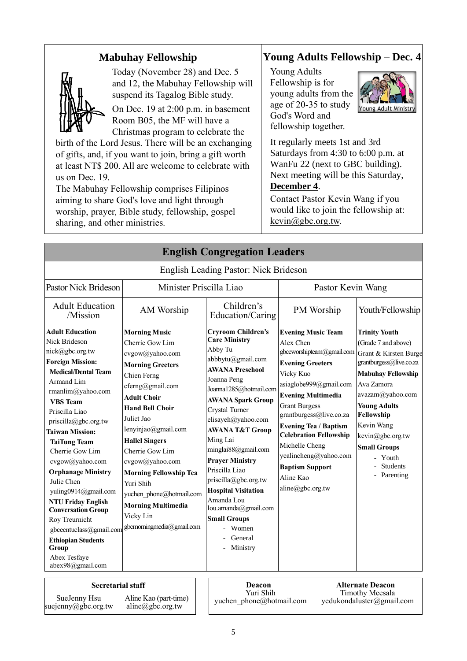## **Mabuhay Fellowship**



Today (November 28) and Dec. 5 and 12, the Mabuhay Fellowship will suspend its Tagalog Bible study.

On Dec. 19 at 2:00 p.m. in basement Room B05, the MF will have a Christmas program to celebrate the

birth of the Lord Jesus. There will be an exchanging of gifts, and, if you want to join, bring a gift worth at least NT\$ 200. All are welcome to celebrate with us on Dec. 19.

The Mabuhay Fellowship comprises Filipinos aiming to share God's love and light through worship, prayer, Bible study, fellowship, gospel sharing, and other ministries.

## **Young Adults Fellowship – Dec. 4**

Young Adults Fellowship is for young adults from the age of 20-35 to study God's Word and fellowship together.



It regularly meets 1st and 3rd Saturdays from 4:30 to 6:00 p.m. at WanFu 22 (next to GBC building). Next meeting will be this Saturday, **December 4**.

Contact Pastor Kevin Wang if you would like to join the fellowship at:  $k$ evin $@$ gbc.org.tw.

|                                                                                                                                                                                                                                                                                                                                                                                                                                                                                                                                                                |                                                                                                                                                                                                                                                                                                                                                                                                                               | <b>English Congregation Leaders</b>                                                                                                                                                                                                                                                                                                                                                                                                                                                      |                                                                                                                                                                                                                                                                                                                                                                                                        |                                                                                                                                                                                                                                                                                                           |
|----------------------------------------------------------------------------------------------------------------------------------------------------------------------------------------------------------------------------------------------------------------------------------------------------------------------------------------------------------------------------------------------------------------------------------------------------------------------------------------------------------------------------------------------------------------|-------------------------------------------------------------------------------------------------------------------------------------------------------------------------------------------------------------------------------------------------------------------------------------------------------------------------------------------------------------------------------------------------------------------------------|------------------------------------------------------------------------------------------------------------------------------------------------------------------------------------------------------------------------------------------------------------------------------------------------------------------------------------------------------------------------------------------------------------------------------------------------------------------------------------------|--------------------------------------------------------------------------------------------------------------------------------------------------------------------------------------------------------------------------------------------------------------------------------------------------------------------------------------------------------------------------------------------------------|-----------------------------------------------------------------------------------------------------------------------------------------------------------------------------------------------------------------------------------------------------------------------------------------------------------|
|                                                                                                                                                                                                                                                                                                                                                                                                                                                                                                                                                                |                                                                                                                                                                                                                                                                                                                                                                                                                               | English Leading Pastor: Nick Brideson                                                                                                                                                                                                                                                                                                                                                                                                                                                    |                                                                                                                                                                                                                                                                                                                                                                                                        |                                                                                                                                                                                                                                                                                                           |
| <b>Pastor Nick Brideson</b>                                                                                                                                                                                                                                                                                                                                                                                                                                                                                                                                    | Minister Priscilla Liao                                                                                                                                                                                                                                                                                                                                                                                                       |                                                                                                                                                                                                                                                                                                                                                                                                                                                                                          | Pastor Kevin Wang                                                                                                                                                                                                                                                                                                                                                                                      |                                                                                                                                                                                                                                                                                                           |
| <b>Adult Education</b><br>/Mission                                                                                                                                                                                                                                                                                                                                                                                                                                                                                                                             | AM Worship                                                                                                                                                                                                                                                                                                                                                                                                                    | Children's<br>Education/Caring                                                                                                                                                                                                                                                                                                                                                                                                                                                           | PM Worship                                                                                                                                                                                                                                                                                                                                                                                             | Youth/Fellowship                                                                                                                                                                                                                                                                                          |
| <b>Adult Education</b><br>Nick Brideson<br>nick@gbc.org.tw<br><b>Foreign Mission:</b><br><b>Medical/Dental Team</b><br>Armand Lim<br>rmanlim@yahoo.com<br><b>VBS</b> Team<br>Priscilla Liao<br>priscilla@gbc.org.tw<br><b>Taiwan Mission:</b><br><b>TaiTung Team</b><br>Cherrie Gow Lim<br>cvgow@yahoo.com<br><b>Orphanage Ministry</b><br>Julie Chen<br>yuling0914@gmail.com<br><b>NTU Friday English</b><br><b>Conversation Group</b><br>Roy Treurnicht<br>gbcecntuclass@gmail.com<br><b>Ethiopian Students</b><br>Group<br>Abex Tesfaye<br>abex98@gmail.com | <b>Morning Music</b><br>Cherrie Gow Lim<br>cvgow@yahoo.com<br><b>Morning Greeters</b><br>Chien Ferng<br>cferng@gmail.com<br><b>Adult Choir</b><br><b>Hand Bell Choir</b><br>Juliet Jao<br>lenyinjao@gmail.com<br><b>Hallel Singers</b><br>Cherrie Gow Lim<br>cvgow@yahoo.com<br><b>Morning Fellowship Tea</b><br>Yuri Shih<br>yuchen phone@hotmail.com<br><b>Morning Multimedia</b><br>Vicky Lin<br>gbcmorningmedia@gmail.com | <b>Cryroom Children's</b><br><b>Care Ministry</b><br>Abby Tu<br>abbbytu@gmail.com<br><b>AWANA Preschool</b><br>Joanna Peng<br>Joanna1285@hotmail.com<br><b>AWANA Spark Group</b><br>Crystal Turner<br>elisayeh@yahoo.com<br><b>AWANA T&amp;T Group</b><br>Ming Lai<br>minglai88@gmail.com<br><b>Prayer Ministry</b><br>Priscilla Liao<br>priscilla@gbc.org.tw<br><b>Hospital Visitation</b><br>Amanda Lou<br>lou.amanda@gmail.com<br><b>Small Groups</b><br>Women<br>General<br>Ministry | <b>Evening Music Team</b><br>Alex Chen<br>gbceworshipteam@gmail.com<br><b>Evening Greeters</b><br>Vicky Kuo<br>asiaglobe999@gmail.com<br><b>Evening Multimedia</b><br><b>Grant Burgess</b><br>grantburgess@live.co.za<br><b>Evening Tea / Baptism</b><br><b>Celebration Fellowship</b><br>Michelle Cheng<br>yealincheng@yahoo.com<br><b>Baptism Support</b><br>Aline Kao<br>$aline(\theta)$ gbc.org.tw | <b>Trinity Youth</b><br>(Grade 7 and above)<br>Grant & Kirsten Burge<br>grantburgess@live.co.za<br><b>Mabuhay Fellowship</b><br>Ava Zamora<br>avazam@yahoo.com<br><b>Young Adults</b><br>Fellowship<br>Kevin Wang<br>kevin@gbc.org.tw<br><b>Small Groups</b><br>- Youth<br><b>Students</b><br>- Parenting |

#### **Secretarial staff Deacon**

|                 | SueJenny Hsu |  |
|-----------------|--------------|--|
| uejenny@gbc.org |              |  |

Aline Kao (part-time) aline@gbc.org.tw

Yuri Shih yuchen\_phone@hotmail.com

**Alternate Deacon** SueJenny Hsu Aline Kao (part-time) <br>suejenny@gbc.org.tw aline@gbc.org.tw suejenny@gbc.org.tw aline@gbc.org.tw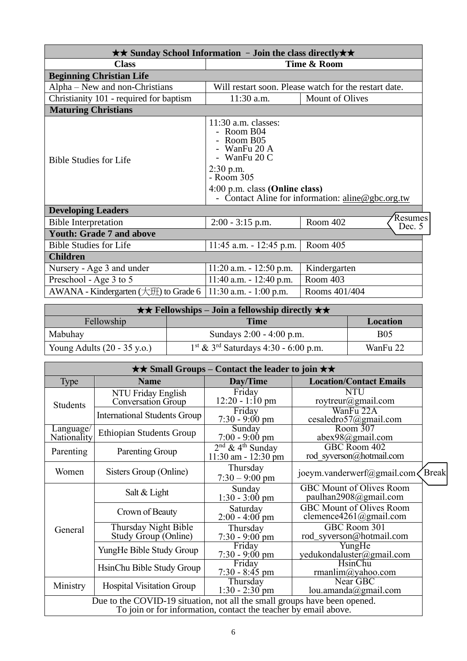|                                                     | $\star\star$ Sunday School Information - Join the class directly $\star\star$                                                              |                                                       |
|-----------------------------------------------------|--------------------------------------------------------------------------------------------------------------------------------------------|-------------------------------------------------------|
| <b>Class</b>                                        |                                                                                                                                            | Time & Room                                           |
| <b>Beginning Christian Life</b>                     |                                                                                                                                            |                                                       |
| Alpha – New and non-Christians                      |                                                                                                                                            | Will restart soon. Please watch for the restart date. |
| Christianity 101 - required for baptism             | 11:30 a.m.                                                                                                                                 | Mount of Olives                                       |
| <b>Maturing Christians</b>                          |                                                                                                                                            |                                                       |
| <b>Bible Studies for Life</b>                       | $11:30$ a.m. classes:<br>- Room B04<br>Room B05<br>WanFu 20 A<br>- WanFu 20 C<br>2:30 p.m.<br>- Room 305<br>4:00 p.m. class (Online class) |                                                       |
|                                                     |                                                                                                                                            | Contact Aline for information: aline@gbc.org.tw       |
| <b>Developing Leaders</b>                           |                                                                                                                                            |                                                       |
| <b>Bible Interpretation</b>                         | $2:00 - 3:15$ p.m.                                                                                                                         | Resumes <br>Room 402<br>Dec. 5                        |
| <b>Youth: Grade 7 and above</b>                     |                                                                                                                                            |                                                       |
| <b>Bible Studies for Life</b>                       | $11:45$ a.m. $-12:45$ p.m.                                                                                                                 | Room 405                                              |
| <b>Children</b>                                     |                                                                                                                                            |                                                       |
| Nursery - Age 3 and under                           | $11:20$ a.m. $-12:50$ p.m.                                                                                                                 | Kindergarten                                          |
| Preschool - Age 3 to 5                              | $11:40$ a.m. $-12:40$ p.m.                                                                                                                 | Room 403                                              |
| AWANA - Kindergarten $(\pm \mathcal{H})$ to Grade 6 | $11:30$ a.m. $-1:00$ p.m.                                                                                                                  | Rooms 401/404                                         |

|                                       | $\star \star$ Fellowships – Join a fellowship directly $\star \star$ |            |  |  |  |
|---------------------------------------|----------------------------------------------------------------------|------------|--|--|--|
| Fellowship                            | <b>Time</b>                                                          | Location   |  |  |  |
| Mabuhay                               | Sundays 2:00 - 4:00 p.m.                                             | <b>B05</b> |  |  |  |
| Young Adults $(20 - 35 \text{ y.o.})$ | $1^{\text{st}}$ & $3^{\text{rd}}$ Saturdays 4:30 - 6:00 p.m.         | WanFu 22   |  |  |  |

|                          | $\star\star$ Small Groups – Contact the leader to join $\star\star$                                                                          |                                                           |                                                               |              |  |
|--------------------------|----------------------------------------------------------------------------------------------------------------------------------------------|-----------------------------------------------------------|---------------------------------------------------------------|--------------|--|
| Type                     | <b>Name</b>                                                                                                                                  | Day/Time                                                  | <b>Location/Contact Emails</b>                                |              |  |
| <b>Students</b>          | NTU Friday English<br><b>Conversation Group</b>                                                                                              | Friday<br>$12:20 - 1:10$ pm                               | <b>NTU</b><br>roytreur@gmail.com                              |              |  |
|                          | International Students Group                                                                                                                 | Friday<br>$7:30 - 9:00$ pm                                | WanFu 22A<br>cesaledro57@gmail.com                            |              |  |
| Language/<br>Nationality | <b>Ethiopian Students Group</b>                                                                                                              | Sunday<br>$7:00 - 9:00$ pm                                | Room 307<br>abex98@gmail.com                                  |              |  |
| Parenting                | Parenting Group                                                                                                                              | $2nd$ & 4 <sup>th</sup> Sunday<br>$11:30$ am - $12:30$ pm | GBC Room 402<br>rod syverson@hotmail.com                      |              |  |
| Women                    | Sisters Group (Online)                                                                                                                       | Thursday<br>$7:30 - 9:00$ pm                              | joeym.vanderwerf@gmail.com<                                   | <b>Break</b> |  |
|                          | Salt & Light                                                                                                                                 | Sunday<br>$1:30 - 3:00$ pm                                | <b>GBC Mount of Olives Room</b><br>paulhan2908@gmail.com      |              |  |
|                          | Crown of Beauty                                                                                                                              | Saturday<br>$2:00 - 4:00$ pm                              | <b>GBC Mount of Olives Room</b><br>clemence $4261$ @gmail.com |              |  |
| General                  | Thursday Night Bible<br>Study Group (Online)                                                                                                 | Thursday<br>$7:30 - 9:00$ pm                              | GBC Room 301<br>rod_syverson@hotmail.com                      |              |  |
|                          | YungHe Bible Study Group                                                                                                                     | Friday<br>$7:30 - 9:00 \text{ pm}$                        | YungHe<br>yedukondaluster@gmail.com                           |              |  |
|                          | HsinChu Bible Study Group                                                                                                                    | Friday<br>$7:30 - 8:45$ pm                                | HsinChu<br>rmanlim@yahoo.com                                  |              |  |
| Ministry                 | <b>Hospital Visitation Group</b>                                                                                                             | Thursday<br>$1:30 - 2:30$ pm                              | Near GBC<br>lou.amanda@gmail.com                              |              |  |
|                          | Due to the COVID-19 situation, not all the small groups have been opened.<br>To join or for information, contact the teacher by email above. |                                                           |                                                               |              |  |